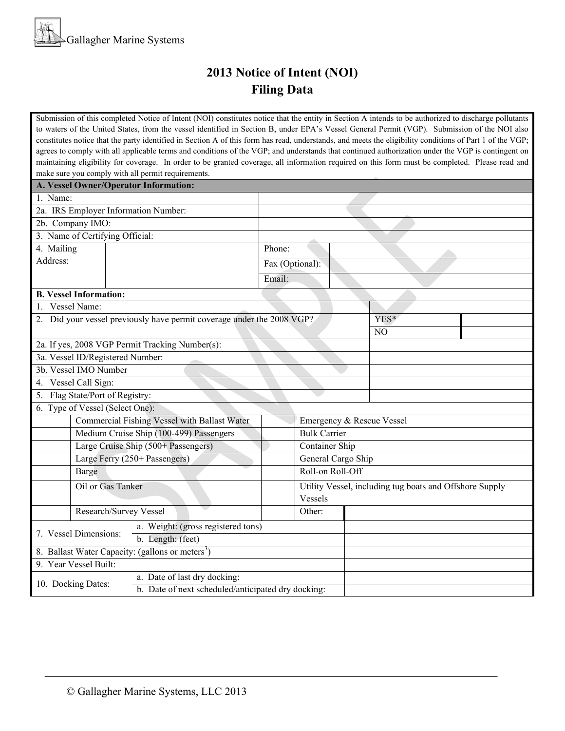## **2013 Notice of Intent (NOI) Filing Data**

Submission of this completed Notice of Intent (NOI) constitutes notice that the entity in Section A intends to be authorized to discharge pollutants to waters of the United States, from the vessel identified in Section B, under EPA's Vessel General Permit (VGP). Submission of the NOI also constitutes notice that the party identified in Section A of this form has read, understands, and meets the eligibility conditions of Part 1 of the VGP; agrees to comply with all applicable terms and conditions of the VGP; and understands that continued authorization under the VGP is contingent on maintaining eligibility for coverage. In order to be granted coverage, all information required on this form must be completed. Please read and make sure you comply with all permit requirements.

| A. Vessel Owner/Operator Information:                        |                                         |                                                                        |                 |                                                                    |                |  |  |  |
|--------------------------------------------------------------|-----------------------------------------|------------------------------------------------------------------------|-----------------|--------------------------------------------------------------------|----------------|--|--|--|
| 1. Name:                                                     |                                         |                                                                        |                 |                                                                    |                |  |  |  |
| 2a. IRS Employer Information Number:                         |                                         |                                                                        |                 |                                                                    |                |  |  |  |
| 2b. Company IMO:                                             |                                         |                                                                        |                 |                                                                    |                |  |  |  |
| 3. Name of Certifying Official:                              |                                         |                                                                        |                 |                                                                    |                |  |  |  |
| 4. Mailing                                                   |                                         |                                                                        | Phone:          |                                                                    |                |  |  |  |
| Address:                                                     |                                         |                                                                        | Fax (Optional): |                                                                    |                |  |  |  |
|                                                              |                                         |                                                                        | Email:          |                                                                    |                |  |  |  |
| <b>B. Vessel Information:</b>                                |                                         |                                                                        |                 |                                                                    |                |  |  |  |
| 1. Vessel Name:                                              |                                         |                                                                        |                 |                                                                    |                |  |  |  |
|                                                              |                                         | 2. Did your vessel previously have permit coverage under the 2008 VGP? |                 | YES*                                                               |                |  |  |  |
|                                                              |                                         |                                                                        |                 |                                                                    | N <sub>O</sub> |  |  |  |
| 2a. If yes, 2008 VGP Permit Tracking Number(s):              |                                         |                                                                        |                 |                                                                    |                |  |  |  |
| 3a. Vessel ID/Registered Number:                             |                                         |                                                                        |                 |                                                                    |                |  |  |  |
| 3b. Vessel IMO Number                                        |                                         |                                                                        |                 |                                                                    |                |  |  |  |
| 4. Vessel Call Sign:                                         |                                         |                                                                        |                 |                                                                    |                |  |  |  |
| 5. Flag State/Port of Registry:                              |                                         |                                                                        |                 |                                                                    |                |  |  |  |
| 6. Type of Vessel (Select One):                              |                                         |                                                                        |                 |                                                                    |                |  |  |  |
| <b>Commercial Fishing Vessel with Ballast Water</b>          |                                         |                                                                        |                 | Emergency & Rescue Vessel                                          |                |  |  |  |
|                                                              | Medium Cruise Ship (100-499) Passengers |                                                                        |                 | <b>Bulk Carrier</b>                                                |                |  |  |  |
|                                                              | Large Cruise Ship (500+ Passengers)     |                                                                        |                 | Container Ship                                                     |                |  |  |  |
|                                                              | Large Ferry (250+ Passengers)           |                                                                        |                 | General Cargo Ship                                                 |                |  |  |  |
| Barge                                                        |                                         |                                                                        |                 | Roll-on Roll-Off                                                   |                |  |  |  |
| Oil or Gas Tanker                                            |                                         |                                                                        |                 | Utility Vessel, including tug boats and Offshore Supply<br>Vessels |                |  |  |  |
|                                                              | Research/Survey Vessel                  |                                                                        |                 | Other:                                                             |                |  |  |  |
|                                                              |                                         | a. Weight: (gross registered tons)                                     |                 |                                                                    |                |  |  |  |
| 7. Vessel Dimensions:                                        |                                         | b. Length: (feet)                                                      |                 |                                                                    |                |  |  |  |
| 8. Ballast Water Capacity: (gallons or meters <sup>3</sup> ) |                                         |                                                                        |                 |                                                                    |                |  |  |  |
| 9. Year Vessel Built:                                        |                                         |                                                                        |                 |                                                                    |                |  |  |  |
|                                                              |                                         | a. Date of last dry docking:                                           |                 |                                                                    |                |  |  |  |
| 10. Docking Dates:                                           |                                         | b. Date of next scheduled/anticipated dry docking:                     |                 |                                                                    |                |  |  |  |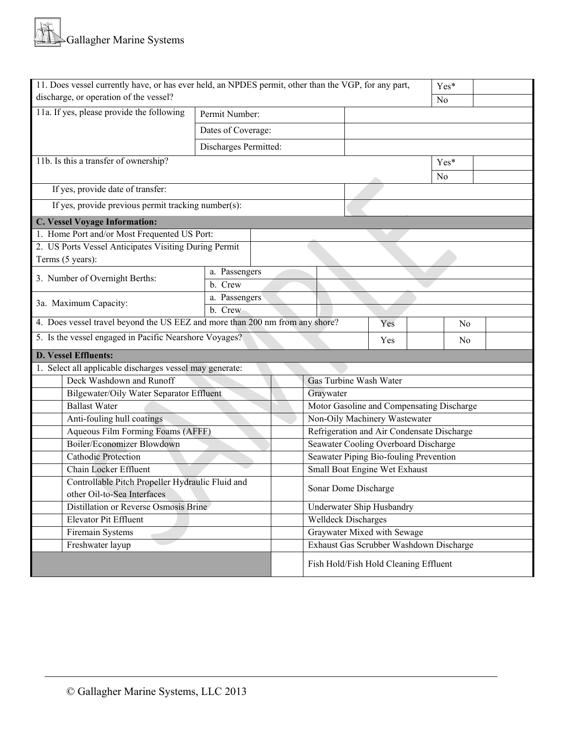| 11. Does vessel currently have, or has ever held, an NPDES permit, other than the VGP, for any part,<br>Yes* |                                          |  |                                           |                                            |                |  |  |  |  |
|--------------------------------------------------------------------------------------------------------------|------------------------------------------|--|-------------------------------------------|--------------------------------------------|----------------|--|--|--|--|
| discharge, or operation of the vessel?                                                                       |                                          |  | N <sub>0</sub>                            |                                            |                |  |  |  |  |
| 11a. If yes, please provide the following                                                                    | Permit Number:                           |  |                                           |                                            |                |  |  |  |  |
| Dates of Coverage:                                                                                           |                                          |  |                                           |                                            |                |  |  |  |  |
|                                                                                                              | Discharges Permitted:                    |  |                                           |                                            |                |  |  |  |  |
| 11b. Is this a transfer of ownership?                                                                        |                                          |  |                                           |                                            | Yes*           |  |  |  |  |
|                                                                                                              |                                          |  |                                           |                                            | N <sub>0</sub> |  |  |  |  |
| If yes, provide date of transfer:                                                                            |                                          |  |                                           |                                            |                |  |  |  |  |
| If yes, provide previous permit tracking number(s):                                                          |                                          |  |                                           |                                            |                |  |  |  |  |
| <b>C. Vessel Voyage Information:</b>                                                                         |                                          |  |                                           |                                            |                |  |  |  |  |
| 1. Home Port and/or Most Frequented US Port:                                                                 |                                          |  |                                           |                                            |                |  |  |  |  |
| 2. US Ports Vessel Anticipates Visiting During Permit                                                        |                                          |  |                                           |                                            |                |  |  |  |  |
| Terms (5 years):                                                                                             |                                          |  |                                           |                                            |                |  |  |  |  |
| 3. Number of Overnight Berths:                                                                               | a. Passengers                            |  |                                           |                                            |                |  |  |  |  |
|                                                                                                              | b. Crew                                  |  |                                           |                                            |                |  |  |  |  |
| 3a. Maximum Capacity:                                                                                        | a. Passengers                            |  |                                           |                                            |                |  |  |  |  |
|                                                                                                              | b. Crew                                  |  |                                           |                                            |                |  |  |  |  |
| 4. Does vessel travel beyond the US EEZ and more than 200 nm from any shore?                                 |                                          |  |                                           | Yes                                        | N <sub>0</sub> |  |  |  |  |
| 5. Is the vessel engaged in Pacific Nearshore Voyages?                                                       |                                          |  | Yes                                       | No                                         |                |  |  |  |  |
| <b>D. Vessel Effluents:</b>                                                                                  |                                          |  |                                           |                                            |                |  |  |  |  |
| 1. Select all applicable discharges vessel may generate:                                                     |                                          |  |                                           |                                            |                |  |  |  |  |
| Deck Washdown and Runoff                                                                                     |                                          |  | Gas Turbine Wash Water                    |                                            |                |  |  |  |  |
|                                                                                                              | Bilgewater/Oily Water Separator Effluent |  |                                           | Graywater                                  |                |  |  |  |  |
| <b>Ballast Water</b>                                                                                         |                                          |  | Motor Gasoline and Compensating Discharge |                                            |                |  |  |  |  |
| Anti-fouling hull coatings                                                                                   |                                          |  |                                           | Non-Oily Machinery Wastewater              |                |  |  |  |  |
|                                                                                                              | Aqueous Film Forming Foams (AFFF)        |  |                                           | Refrigeration and Air Condensate Discharge |                |  |  |  |  |
|                                                                                                              | Boiler/Economizer Blowdown               |  |                                           | Seawater Cooling Overboard Discharge       |                |  |  |  |  |
| <b>Cathodic Protection</b>                                                                                   |                                          |  | Seawater Piping Bio-fouling Prevention    |                                            |                |  |  |  |  |
| Chain Locker Effluent                                                                                        |                                          |  | Small Boat Engine Wet Exhaust             |                                            |                |  |  |  |  |
| Controllable Pitch Propeller Hydraulic Fluid and                                                             |                                          |  | Sonar Dome Discharge                      |                                            |                |  |  |  |  |
| other Oil-to-Sea Interfaces                                                                                  |                                          |  |                                           |                                            |                |  |  |  |  |
| Distillation or Reverse Osmosis Brine                                                                        |                                          |  | Underwater Ship Husbandry                 |                                            |                |  |  |  |  |
| Elevator Pit Effluent                                                                                        |                                          |  | <b>Welldeck Discharges</b>                |                                            |                |  |  |  |  |
| Firemain Systems                                                                                             |                                          |  | Graywater Mixed with Sewage               |                                            |                |  |  |  |  |
| Freshwater layup                                                                                             |                                          |  | Exhaust Gas Scrubber Washdown Discharge   |                                            |                |  |  |  |  |
|                                                                                                              |                                          |  |                                           | Fish Hold/Fish Hold Cleaning Effluent      |                |  |  |  |  |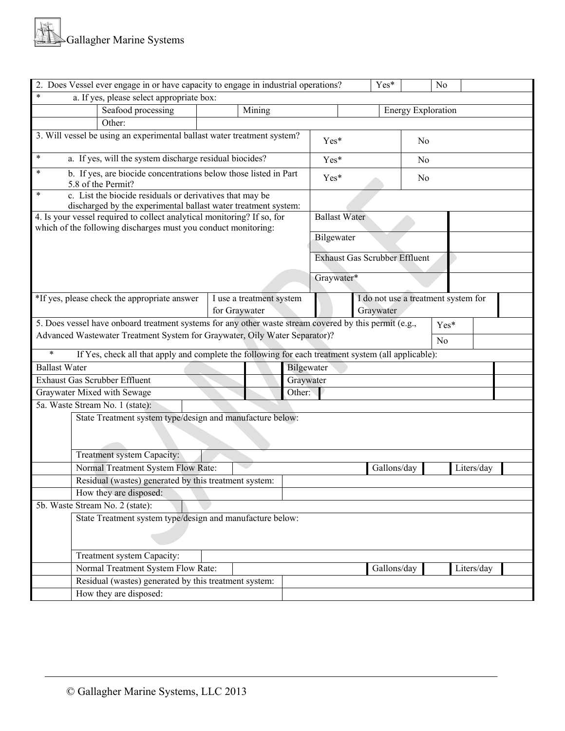| 2. Does Vessel ever engage in or have capacity to engage in industrial operations?<br>No<br>Yes*                                              |  |        |      |                                      |                           |    |        |  |  |
|-----------------------------------------------------------------------------------------------------------------------------------------------|--|--------|------|--------------------------------------|---------------------------|----|--------|--|--|
| $\ast$<br>a. If yes, please select appropriate box:                                                                                           |  |        |      |                                      |                           |    |        |  |  |
| Seafood processing                                                                                                                            |  | Mining |      |                                      | <b>Energy Exploration</b> |    |        |  |  |
| Other:                                                                                                                                        |  |        |      |                                      |                           |    |        |  |  |
| 3. Will vessel be using an experimental ballast water treatment system?                                                                       |  |        | Yes* |                                      | N <sub>0</sub>            |    |        |  |  |
| $\ast$<br>a. If yes, will the system discharge residual biocides?                                                                             |  |        |      | Yes*                                 |                           | No |        |  |  |
| b. If yes, are biocide concentrations below those listed in Part<br>$\ast$<br>5.8 of the Permit?                                              |  |        |      | Yes*                                 |                           | No |        |  |  |
| $\ast$<br>c. List the biocide residuals or derivatives that may be<br>discharged by the experimental ballast water treatment system:          |  |        |      |                                      |                           |    |        |  |  |
| 4. Is your vessel required to collect analytical monitoring? If so, for<br>which of the following discharges must you conduct monitoring:     |  |        |      | <b>Ballast Water</b>                 |                           |    |        |  |  |
|                                                                                                                                               |  |        |      | Bilgewater                           |                           |    |        |  |  |
|                                                                                                                                               |  |        |      | <b>Exhaust Gas Scrubber Effluent</b> |                           |    |        |  |  |
|                                                                                                                                               |  |        |      | Graywater*                           |                           |    |        |  |  |
| *If yes, please check the appropriate answer<br>I do not use a treatment system for<br>I use a treatment system<br>for Graywater<br>Graywater |  |        |      |                                      |                           |    |        |  |  |
| 5. Does vessel have onboard treatment systems for any other waste stream covered by this permit (e.g.,                                        |  |        |      |                                      |                           |    | $Yes*$ |  |  |
| Advanced Wastewater Treatment System for Graywater, Oily Water Separator)?                                                                    |  |        |      | N <sub>o</sub>                       |                           |    |        |  |  |
| $\ast$                                                                                                                                        |  |        |      |                                      |                           |    |        |  |  |
| If Yes, check all that apply and complete the following for each treatment system (all applicable):<br><b>Ballast Water</b>                   |  |        |      |                                      |                           |    |        |  |  |
| Bilgewater<br><b>Exhaust Gas Scrubber Effluent</b><br>Graywater                                                                               |  |        |      |                                      |                           |    |        |  |  |
| Graywater Mixed with Sewage<br>Other:                                                                                                         |  |        |      |                                      |                           |    |        |  |  |
| 5a. Waste Stream No. 1 (state):                                                                                                               |  |        |      |                                      |                           |    |        |  |  |
| State Treatment system type/design and manufacture below:                                                                                     |  |        |      |                                      |                           |    |        |  |  |
|                                                                                                                                               |  |        |      |                                      |                           |    |        |  |  |
|                                                                                                                                               |  |        |      |                                      |                           |    |        |  |  |
| Treatment system Capacity:                                                                                                                    |  |        |      |                                      |                           |    |        |  |  |
| Normal Treatment System Flow Rate:<br>Gallons/day<br>Liters/day                                                                               |  |        |      |                                      |                           |    |        |  |  |
| Residual (wastes) generated by this treatment system:                                                                                         |  |        |      |                                      |                           |    |        |  |  |
| How they are disposed:                                                                                                                        |  |        |      |                                      |                           |    |        |  |  |
| 5b. Waste Stream No. 2 (state):                                                                                                               |  |        |      |                                      |                           |    |        |  |  |
| State Treatment system type/design and manufacture below:                                                                                     |  |        |      |                                      |                           |    |        |  |  |
|                                                                                                                                               |  |        |      |                                      |                           |    |        |  |  |
| Treatment system Capacity:                                                                                                                    |  |        |      |                                      |                           |    |        |  |  |
| Normal Treatment System Flow Rate:<br>Gallons/day<br>Liters/day                                                                               |  |        |      |                                      |                           |    |        |  |  |
| Residual (wastes) generated by this treatment system:                                                                                         |  |        |      |                                      |                           |    |        |  |  |
| How they are disposed:                                                                                                                        |  |        |      |                                      |                           |    |        |  |  |